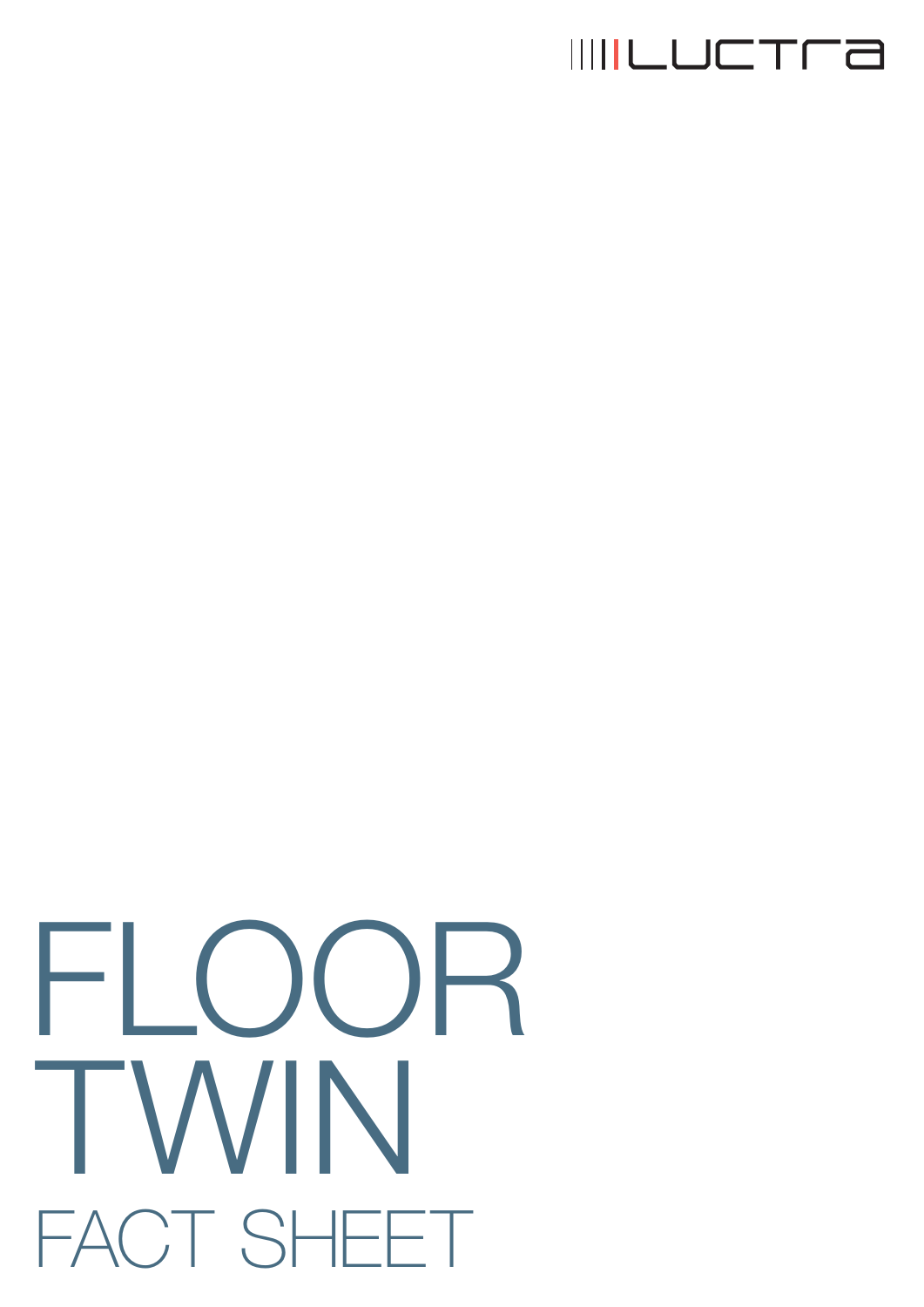

## FLOOR TWIN FACT SHEET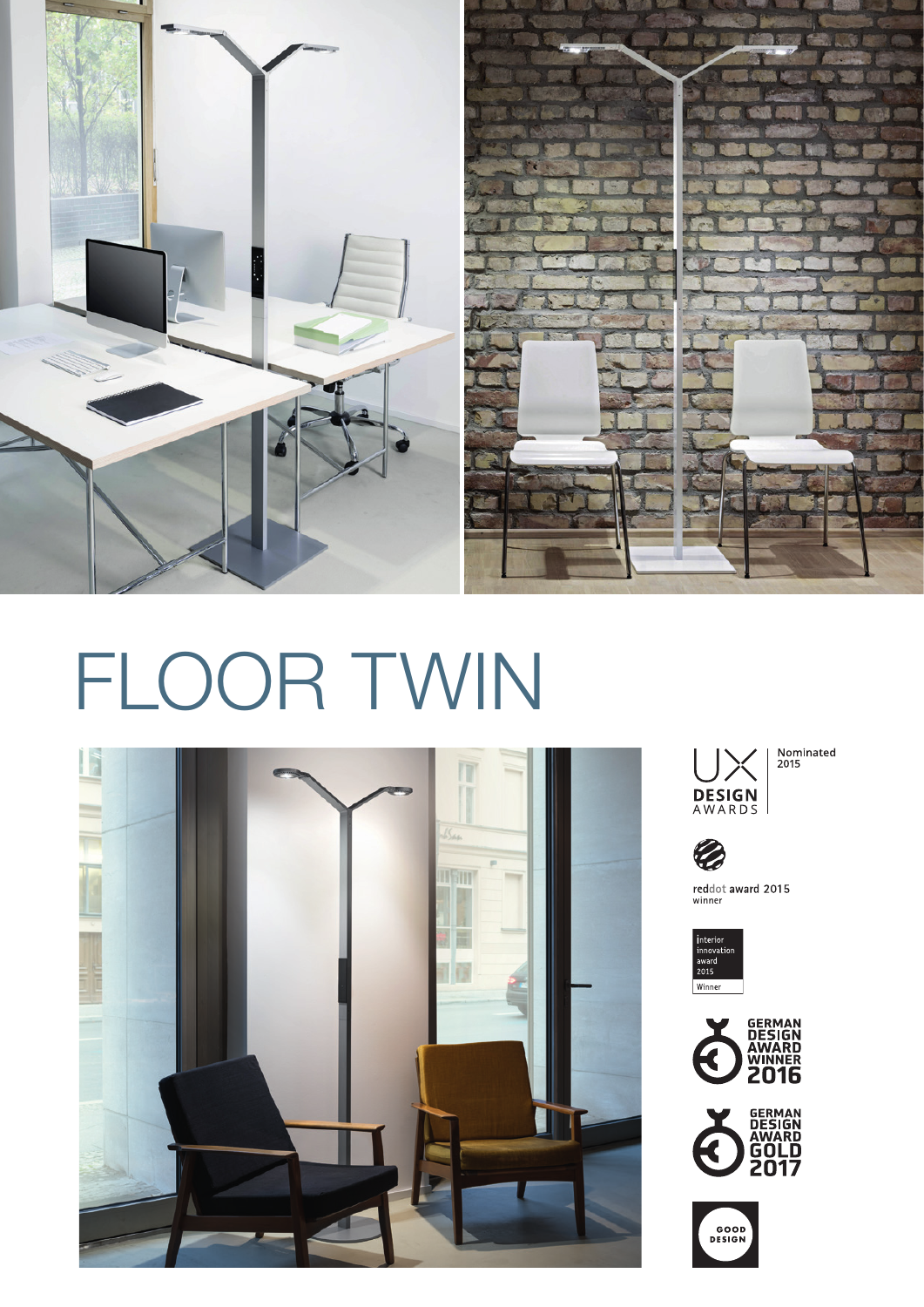

## FLOOR TWIN





Nominated<br>2015



reddot award 2015 winner







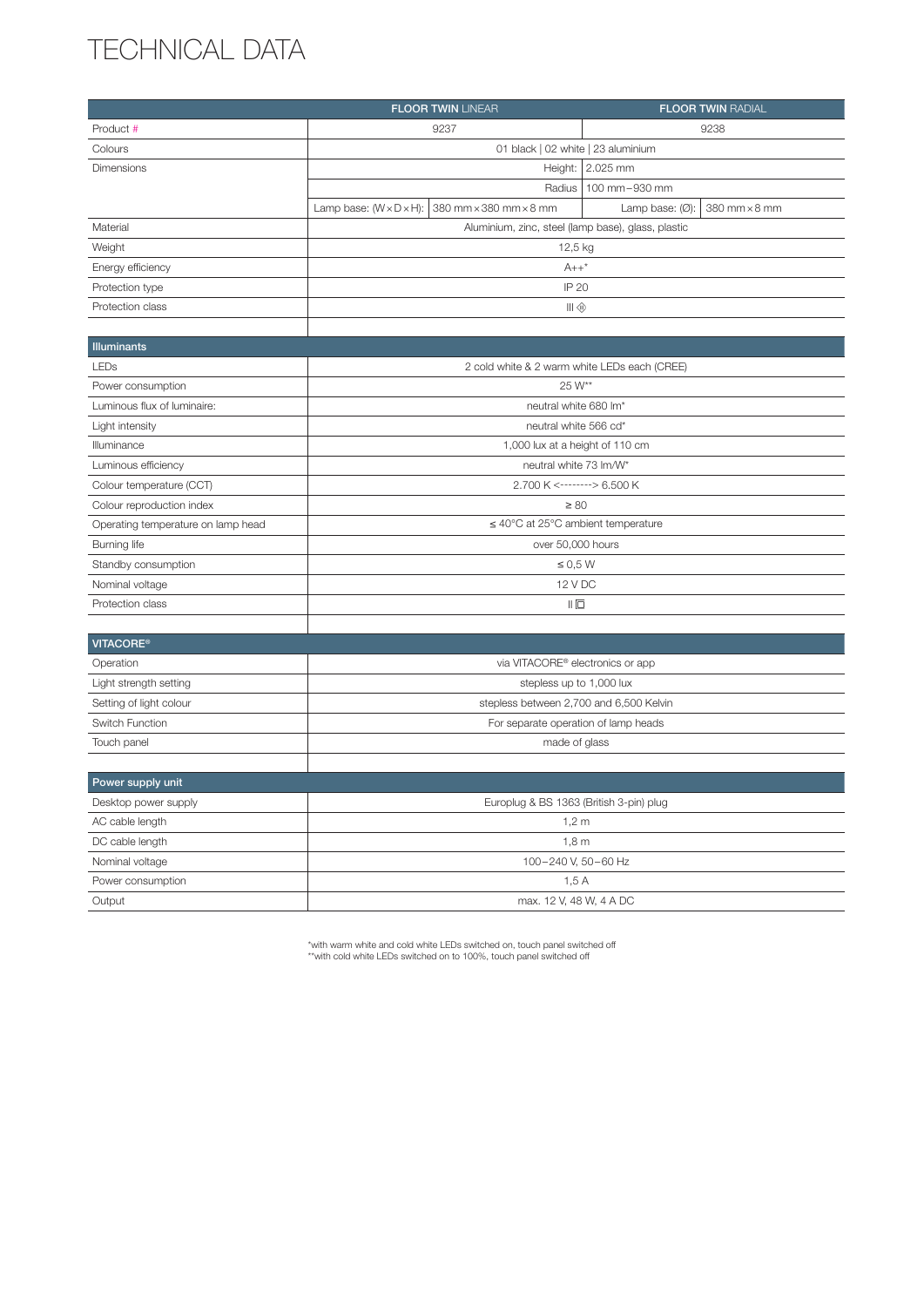## TECHNICAL DATA

|                                    | <b>FLOOR TWIN LINEAR</b>                           |                                         | <b>FLOOR TWIN RADIAL</b>                   |
|------------------------------------|----------------------------------------------------|-----------------------------------------|--------------------------------------------|
| Product #                          | 9237                                               |                                         | 9238                                       |
| Colours                            | 01 black   02 white   23 aluminium                 |                                         |                                            |
| Dimensions                         | Height: 2.025 mm                                   |                                         |                                            |
|                                    |                                                    | Radius                                  | 100 mm-930 mm                              |
|                                    | Lamp base: $(W \times D \times H)$ :               | 380 mm × 380 mm × 8 mm                  | Lamp base: $(Ø)$ :<br>380 mm $\times$ 8 mm |
| Material                           | Aluminium, zinc, steel (lamp base), glass, plastic |                                         |                                            |
| Weight                             | 12,5 kg                                            |                                         |                                            |
| Energy efficiency                  | $A++^*$                                            |                                         |                                            |
| Protection type                    | IP 20                                              |                                         |                                            |
| Protection class                   | Ш®                                                 |                                         |                                            |
|                                    |                                                    |                                         |                                            |
| <b>Illuminants</b>                 |                                                    |                                         |                                            |
| LEDs                               | 2 cold white & 2 warm white LEDs each (CREE)       |                                         |                                            |
| Power consumption                  | 25 W**                                             |                                         |                                            |
| Luminous flux of luminaire:        | neutral white 680 lm*                              |                                         |                                            |
| Light intensity                    | neutral white 566 cd*                              |                                         |                                            |
| Illuminance                        | 1,000 lux at a height of 110 cm                    |                                         |                                            |
| Luminous efficiency                | neutral white 73 lm/W*                             |                                         |                                            |
| Colour temperature (CCT)           | 2.700 K <-------> 6.500 K                          |                                         |                                            |
| Colour reproduction index          | $\geq 80$                                          |                                         |                                            |
| Operating temperature on lamp head | $\leq$ 40°C at 25°C ambient temperature            |                                         |                                            |
| Burning life                       | over 50,000 hours                                  |                                         |                                            |
| Standby consumption                | $\leq 0.5 W$                                       |                                         |                                            |
| Nominal voltage                    | 12 V DC                                            |                                         |                                            |
| Protection class                   | $   \Box$                                          |                                         |                                            |
|                                    |                                                    |                                         |                                            |
| <b>VITACORE®</b>                   |                                                    |                                         |                                            |
| Operation                          | via VITACORE® electronics or app                   |                                         |                                            |
| Light strength setting             | stepless up to 1,000 lux                           |                                         |                                            |
| Setting of light colour            | stepless between 2,700 and 6,500 Kelvin            |                                         |                                            |
| Switch Function                    | For separate operation of lamp heads               |                                         |                                            |
| Touch panel                        | made of glass                                      |                                         |                                            |
|                                    |                                                    |                                         |                                            |
| Power supply unit                  |                                                    |                                         |                                            |
| Dockton power cupply               |                                                    | Europlug & BS 1989 (British 3 pin) plug |                                            |

| Desktop power supply | Europlug & BS 1363 (British 3-pin) plug |  |
|----------------------|-----------------------------------------|--|
| AC cable length      | 1.2 <sub>m</sub>                        |  |
| DC cable length      | 1.8 <sub>m</sub>                        |  |
| Nominal voltage      | 100-240 V. 50-60 Hz                     |  |
| Power consumption    | 1.5A                                    |  |
| Output               | max. 12 V, 48 W, 4 A DC                 |  |

\*with warm white and cold white LEDs switched on, touch panel switched off \*\*with cold white LEDs switched on to 100%, touch panel switched off